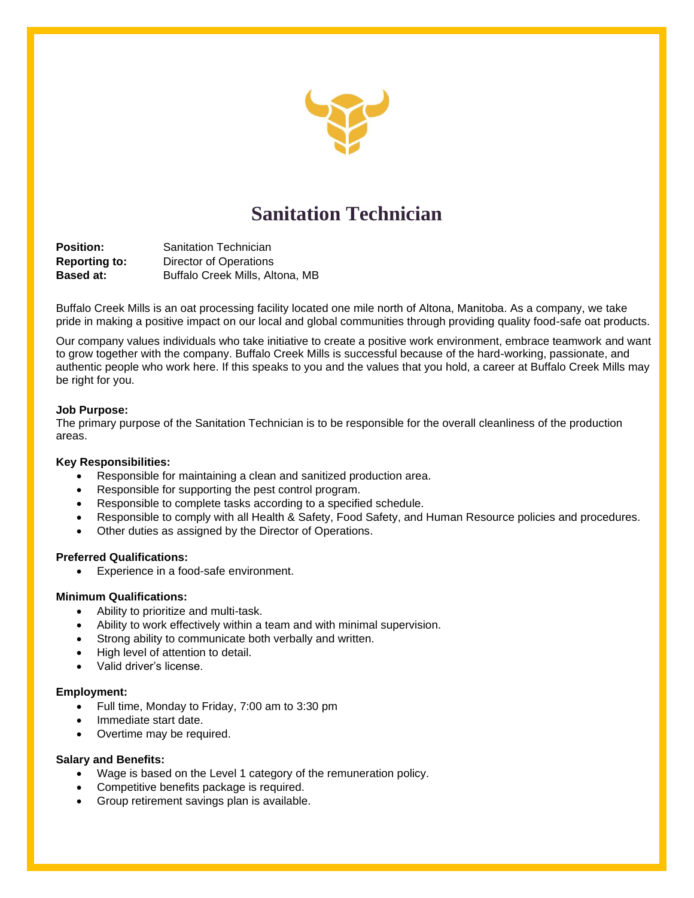

# **Sanitation Technician**

**Position:** Sanitation Technician **Reporting to:** Director of Operations **Based at:** Buffalo Creek Mills, Altona, MB

Buffalo Creek Mills is an oat processing facility located one mile north of Altona, Manitoba. As a company, we take pride in making a positive impact on our local and global communities through providing quality food-safe oat products.

Our company values individuals who take initiative to create a positive work environment, embrace teamwork and want to grow together with the company. Buffalo Creek Mills is successful because of the hard-working, passionate, and authentic people who work here. If this speaks to you and the values that you hold, a career at Buffalo Creek Mills may be right for you.

### **Job Purpose:**

The primary purpose of the Sanitation Technician is to be responsible for the overall cleanliness of the production areas.

#### **Key Responsibilities:**

- Responsible for maintaining a clean and sanitized production area.
- Responsible for supporting the pest control program.
- Responsible to complete tasks according to a specified schedule.
- Responsible to comply with all Health & Safety, Food Safety, and Human Resource policies and procedures.
- Other duties as assigned by the Director of Operations.

#### **Preferred Qualifications:**

• Experience in a food-safe environment.

#### **Minimum Qualifications:**

- Ability to prioritize and multi-task.
- Ability to work effectively within a team and with minimal supervision.
- Strong ability to communicate both verbally and written.
- High level of attention to detail.
- Valid driver's license.

#### **Employment:**

- Full time, Monday to Friday, 7:00 am to 3:30 pm
- Immediate start date.
- Overtime may be required.

## **Salary and Benefits:**

- Wage is based on the Level 1 category of the remuneration policy.
- Competitive benefits package is required.
- Group retirement savings plan is available.